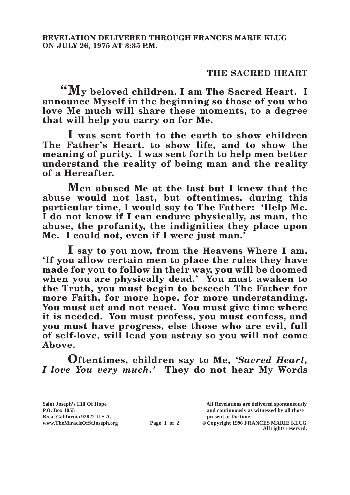## **THE SACRED HEART**

**"My beloved children, I am The Sacred Heart. I announce Myself in the beginning so those of you who love Me much will share these moments, to a degree that will help you carry on for Me.**

**I was sent forth to the earth to show children The Father's Heart, to show life, and to show the meaning of purity. I was sent forth to help men better understand the reality of being man and the reality of a Hereafter.**

**Men abused Me at the last but I knew that the abuse would not last, but oftentimes, during this particular time, I would say to The Father: 'Help Me. I do not know if I can endure physically, as man, the abuse, the profanity, the indignities they place upon Me. I could not, even if I were just man.'**

**I say to you now, from the Heavens Where I am, 'If you allow certain men to place the rules they have made for you to follow in their way, you will be doomed when you are physically dead.' You must awaken to the Truth, you must begin to beseech The Father for more Faith, for more hope, for more understanding. You must act and not react. You must give time where it is needed. You must profess, you must confess, and you must have progress, else those who are evil, full of self-love, will lead you astray so you will not come Above.**

**Oftentimes, children say to Me,** *'Sacred Heart, I love You very much.'* **They do not hear My Words** 

**Saint Joseph's Hill Of Hope All Revelations are delivered spontaneously Brea, California 92822 U.S.A. present at the time.**<br> **present at the time.**<br> **present at the time.**<br> **present at the time.**<br> **present at the time.**<br> **present at the time.** 

**P.O. Box 1055 and continuously as witnessed by all those Page 1 of 2** © Copyright 1996 FRANCES MARIE KLUG

**All rights reserved.**